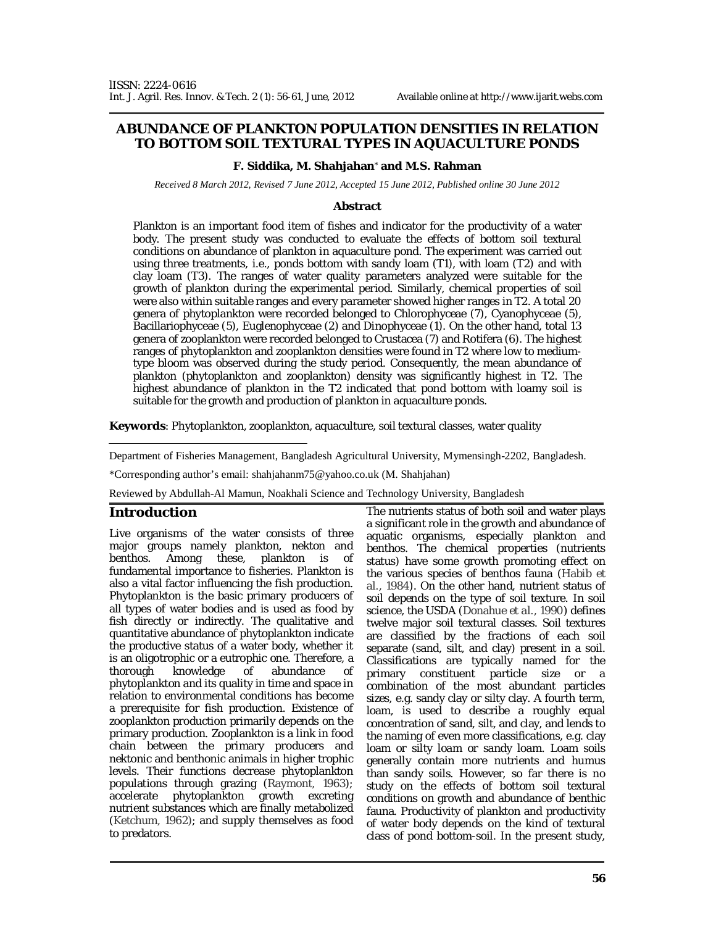# **ABUNDANCE OF PLANKTON POPULATION DENSITIES IN RELATION TO BOTTOM SOIL TEXTURAL TYPES IN AQUACULTURE PONDS**

#### **F. Siddika, M. Shahjahan**\*  **and M.S. Rahman**

*Received 8 March 2012, Revised 7 June 2012, Accepted 15 June 2012, Published online 30 June 2012* 

#### **Abstract**

Plankton is an important food item of fishes and indicator for the productivity of a water body. The present study was conducted to evaluate the effects of bottom soil textural conditions on abundance of plankton in aquaculture pond. The experiment was carried out using three treatments, i.e., ponds bottom with sandy loam (T1), with loam (T2) and with clay loam (T3). The ranges of water quality parameters analyzed were suitable for the growth of plankton during the experimental period. Similarly, chemical properties of soil were also within suitable ranges and every parameter showed higher ranges in T2. A total 20 genera of phytoplankton were recorded belonged to Chlorophyceae (7), Cyanophyceae (5), Bacillariophyceae (5), Euglenophyceae (2) and Dinophyceae (1). On the other hand, total 13 genera of zooplankton were recorded belonged to Crustacea (7) and Rotifera (6). The highest ranges of phytoplankton and zooplankton densities were found in T2 where low to mediumtype bloom was observed during the study period. Consequently, the mean abundance of plankton (phytoplankton and zooplankton) density was significantly highest in T2. The highest abundance of plankton in the T2 indicated that pond bottom with loamy soil is suitable for the growth and production of plankton in aquaculture ponds.

**Keywords**: Phytoplankton, zooplankton, aquaculture, soil textural classes, water quality

Department of Fisheries Management, Bangladesh Agricultural University, Mymensingh-2202, Bangladesh.

\*Corresponding author's email: shahjahanm75@yahoo.co.uk (M. Shahjahan)

Reviewed by Abdullah-Al Mamun, Noakhali Science and Technology University, Bangladesh

### **Introduction**

Live organisms of the water consists of three major groups namely plankton, nekton and<br>benthos. Among these, plankton is of plankton is of fundamental importance to fisheries. Plankton is also a vital factor influencing the fish production. Phytoplankton is the basic primary producers of all types of water bodies and is used as food by fish directly or indirectly. The qualitative and quantitative abundance of phytoplankton indicate the productive status of a water body, whether it is an oligotrophic or a eutrophic one. Therefore, a<br>thorough knowledge of abundance of knowledge of abundance of phytoplankton and its quality in time and space in relation to environmental conditions has become a prerequisite for fish production. Existence of zooplankton production primarily depends on the primary production. Zooplankton is a link in food chain between the primary producers and nektonic and benthonic animals in higher trophic levels. Their functions decrease phytoplankton populations through grazing (Raymont, 1963); accelerate phytoplankton growth excreting nutrient substances which are finally metabolized (Ketchum, 1962); and supply themselves as food to predators.

The nutrients status of both soil and water plays a significant role in the growth and abundance of aquatic organisms, especially plankton and benthos. The chemical properties (nutrients status) have some growth promoting effect on the various species of benthos fauna (Habib *et al.,* 1984). On the other hand, nutrient status of soil depends on the type of soil texture. In soil science, the USDA (Donahue *et al.,* 1990) defines twelve major soil textural classes. Soil textures are classified by the fractions of each soil separate (sand, silt, and clay) present in a soil. Classifications are typically named for the primary constituent particle size or a combination of the most abundant particles sizes, e.g. sandy clay or silty clay. A fourth term, loam, is used to describe a roughly equal concentration of sand, silt, and clay, and lends to the naming of even more classifications, e.g. clay loam or silty loam or sandy loam. Loam soils generally contain more nutrients and humus than sandy soils. However, so far there is no study on the effects of bottom soil textural conditions on growth and abundance of benthic fauna. Productivity of plankton and productivity of water body depends on the kind of textural class of pond bottom-soil. In the present study,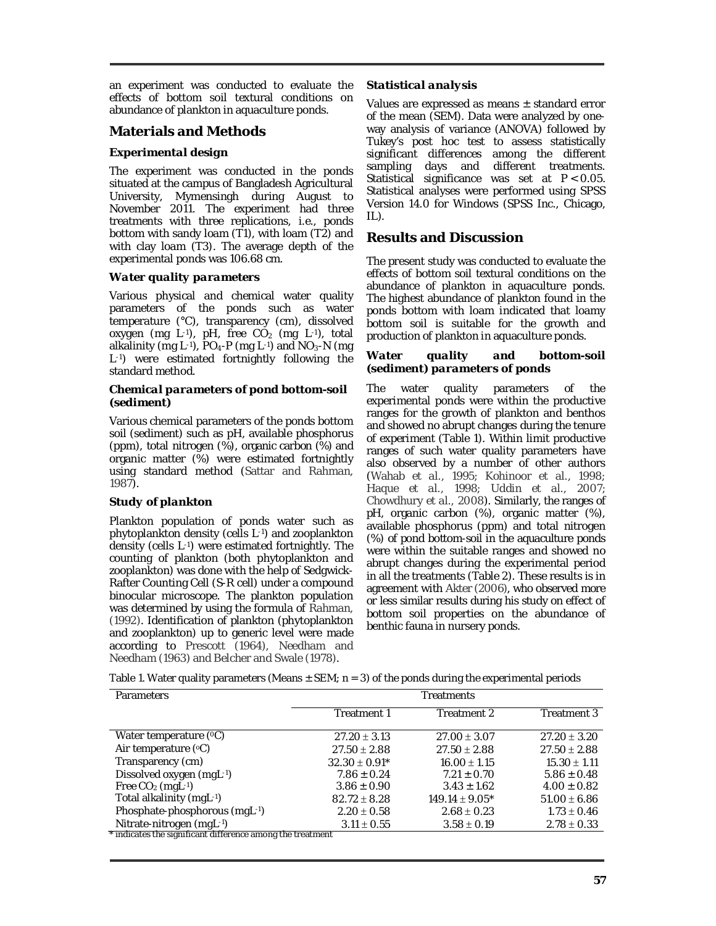an experiment was conducted to evaluate the effects of bottom soil textural conditions on abundance of plankton in aquaculture ponds.

# **Materials and Methods**

### *Experimental design*

The experiment was conducted in the ponds situated at the campus of Bangladesh Agricultural University, Mymensingh during August to November 2011. The experiment had three treatments with three replications, i.e., ponds bottom with sandy loam (T1), with loam (T2) and with clay loam (T3). The average depth of the experimental ponds was 106.68 cm.

## *Water quality parameters*

Various physical and chemical water quality parameters of the ponds such as water temperature (°C), transparency (cm), dissolved oxygen (mg L-1), pH, free  $CO<sub>2</sub>$  (mg L-1), total alkalinity (mg L-1),  $PO_4-P$  (mg L-1) and  $NO_3-N$  (mg L-1) were estimated fortnightly following the standard method.

#### *Chemical parameters of pond bottom-soil (sediment)*

Various chemical parameters of the ponds bottom soil (sediment) such as pH, available phosphorus (ppm), total nitrogen (%), organic carbon (%) and organic matter (%) were estimated fortnightly using standard method (Sattar and Rahman, 1987).

### *Study of plankton*

Plankton population of ponds water such as phytoplankton density (cells L-1) and zooplankton density (cells L-1) were estimated fortnightly. The counting of plankton (both phytoplankton and zooplankton) was done with the help of Sedgwick-Rafter Counting Cell (S-R cell) under a compound binocular microscope. The plankton population was determined by using the formula of Rahman, (1992). Identification of plankton (phytoplankton and zooplankton) up to generic level were made according to Prescott (1964), Needham and Needham (1963) and Belcher and Swale (1978).

## *Statistical analysis*

Values are expressed as means  $\pm$  standard error of the mean (SEM). Data were analyzed by oneway analysis of variance (ANOVA) followed by Tukey's post hoc test to assess statistically significant differences among the different sampling days and different treatments. Statistical significance was set at *P* < 0.05. Statistical analyses were performed using SPSS Version 14.0 for Windows (SPSS Inc., Chicago, IL).

# **Results and Discussion**

The present study was conducted to evaluate the effects of bottom soil textural conditions on the abundance of plankton in aquaculture ponds. The highest abundance of plankton found in the ponds bottom with loam indicated that loamy bottom soil is suitable for the growth and production of plankton in aquaculture ponds.

#### *Water quality and bottom-soil (sediment) parameters of ponds*

The water quality parameters of the experimental ponds were within the productive ranges for the growth of plankton and benthos and showed no abrupt changes during the tenure of experiment (Table 1). Within limit productive ranges of such water quality parameters have also observed by a number of other authors (Wahab *et al.,* 1995; Kohinoor *et al.,* 1998; Haque *et al.,* 1998; Uddin *et al.,* 2007; Chowdhury *et al.,* 2008). Similarly, the ranges of pH, organic carbon (%), organic matter (%), available phosphorus (ppm) and total nitrogen (%) of pond bottom-soil in the aquaculture ponds were within the suitable ranges and showed no abrupt changes during the experimental period in all the treatments (Table 2). These results is in agreement with Akter (2006), who observed more or less similar results during his study on effect of bottom soil properties on the abundance of benthic fauna in nursery ponds.

Table 1. Water quality parameters (Means  $\pm$  SEM; n = 3) of the ponds during the experimental periods

| Parameters                                                 | Treatments        |                    |                  |  |  |  |
|------------------------------------------------------------|-------------------|--------------------|------------------|--|--|--|
|                                                            | Treatment 1       | Treatment 2        | Treatment 3      |  |  |  |
| Water temperature $(°C)$                                   | $27.20 \pm 3.13$  | $27.00 \pm 3.07$   | $27.20 \pm 3.20$ |  |  |  |
| Air temperature (°C)                                       | $27.50 \pm 2.88$  | $27.50 \pm 2.88$   | $27.50 \pm 2.88$ |  |  |  |
| Transparency (cm)                                          | $32.30 \pm 0.91*$ | $16.00 \pm 1.15$   | $15.30 \pm 1.11$ |  |  |  |
| Dissolved oxygen (mgL-1)                                   | $7.86 \pm 0.24$   | $7.21 \pm 0.70$    | $5.86 \pm 0.48$  |  |  |  |
| Free $CO2$ (mgL-1)                                         | $3.86 \pm 0.90$   | $3.43 \pm 1.62$    | $4.00 \pm 0.82$  |  |  |  |
| Total alkalinity (mgL-1)                                   | $82.72 \pm 8.28$  | $149.14 \pm 9.05*$ | $51.00 \pm 6.86$ |  |  |  |
| Phosphate-phosphorous (mgL-1)                              | $2.20 \pm 0.58$   | $2.68 \pm 0.23$    | $1.73 \pm 0.46$  |  |  |  |
| Nitrate-nitrogen (mgL-1)                                   | $3.11 \pm 0.55$   | $3.58 \pm 0.19$    | $2.78 \pm 0.33$  |  |  |  |
| * indicates the significant difference among the treatment |                   |                    |                  |  |  |  |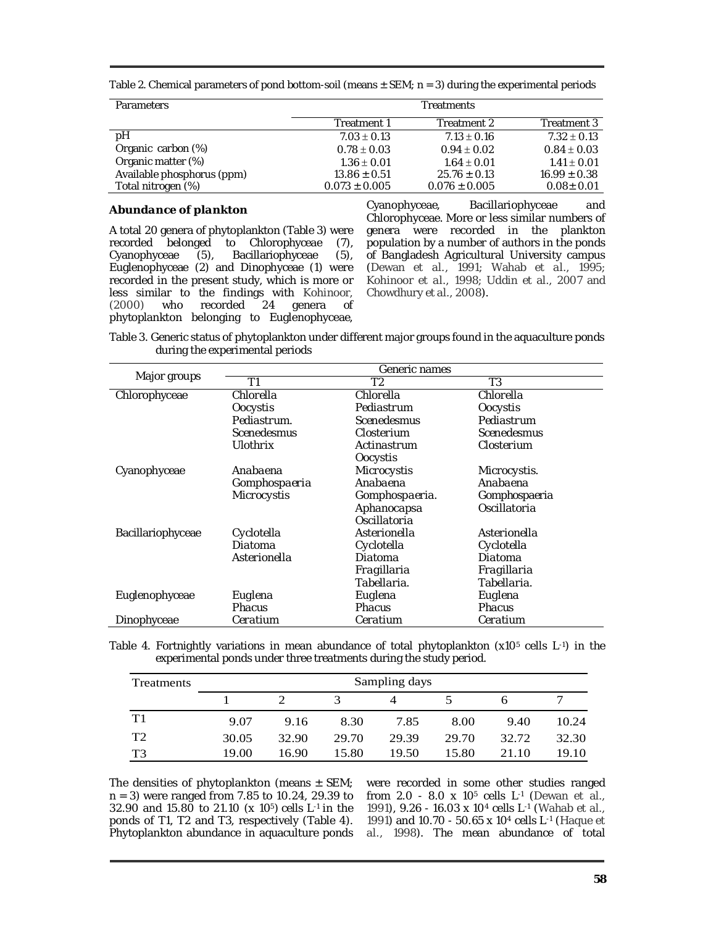Table 2. Chemical parameters of pond bottom-soil (means  $\pm$  SEM; n = 3) during the experimental periods

| <b>Parameters</b>          | <b>Treatments</b> |                   |                  |  |  |
|----------------------------|-------------------|-------------------|------------------|--|--|
|                            | Treatment 1       | Treatment 2       | Treatment 3      |  |  |
| pН                         | $7.03 \pm 0.13$   | $7.13 \pm 0.16$   | $7.32 \pm 0.13$  |  |  |
| Organic carbon (%)         | $0.78 \pm 0.03$   | $0.94 \pm 0.02$   | $0.84 \pm 0.03$  |  |  |
| Organic matter (%)         | $1.36 \pm 0.01$   | $1.64 \pm 0.01$   | $1.41 \pm 0.01$  |  |  |
| Available phosphorus (ppm) | $13.86 \pm 0.51$  | $25.76 \pm 0.13$  | $16.99 \pm 0.38$ |  |  |
| Total nitrogen (%)         | $0.073 \pm 0.005$ | $0.076 \pm 0.005$ | $0.08 \pm 0.01$  |  |  |

#### *Abundance of plankton*

A total 20 genera of phytoplankton (Table 3) were recorded belonged to Chlorophyceae (7), Cyanophyceae (5), Bacillariophyceae (5), Euglenophyceae (2) and Dinophyceae (1) were recorded in the present study, which is more or less similar to the findings with Kohinoor, (2000) who recorded 24 genera of phytoplankton belonging to Euglenophyceae,

Cyanophyceae, Bacillariophyceae and Chlorophyceae. More or less similar numbers of genera were recorded in the plankton population by a number of authors in the ponds of Bangladesh Agricultural University campus (Dewan *et al.,* 1991; Wahab *et al.,* 1995; Kohinoor *et al.,* 1998; Uddin *et al.,* 2007 and Chowdhury *et al.,* 2008).

Table 3. Generic status of phytoplankton under different major groups found in the aquaculture ponds during the experimental periods

| Major groups      | Generic names      |                    |               |  |  |  |
|-------------------|--------------------|--------------------|---------------|--|--|--|
|                   | Τ1                 | Τ2                 | T3            |  |  |  |
| Chlorophyceae     | Chlorella          | Chlorella          | Chlorella     |  |  |  |
|                   | Oocystis           | Pediastrum         | Oocystis      |  |  |  |
|                   | Pediastrum.        | <b>Scenedesmus</b> | Pediastrum    |  |  |  |
|                   | <b>Scenedesmus</b> | Closterium         | Scenedesmus   |  |  |  |
|                   | Ulothrix           | Actinastrum        | Closterium    |  |  |  |
|                   |                    | Oocystis           |               |  |  |  |
| Cyanophyceae      | Anabaena           | Microcystis        | Microcystis.  |  |  |  |
|                   | Gomphospaeria      | Anabaena           | Anabaena      |  |  |  |
|                   | Microcystis        | Gomphospaeria.     | Gomphospaeria |  |  |  |
|                   |                    | Aphanocapsa        | Oscillatoria  |  |  |  |
|                   |                    | Oscillatoria       |               |  |  |  |
| Bacillariophyceae | Cyclotella         | Asterionella       | Asterionella  |  |  |  |
|                   | Diatoma            | Cyclotella         | Cyclotella    |  |  |  |
|                   | Asterionella       | Diatoma            | Diatoma       |  |  |  |
|                   |                    | Fragillaria        | Fragillaria   |  |  |  |
|                   |                    | Tabellaria.        | Tabellaria.   |  |  |  |
| Euglenophyceae    | Euglena            | Euglena            | Euglena       |  |  |  |
|                   | <b>Phacus</b>      | <b>Phacus</b>      | Phacus        |  |  |  |
| Dinophyceae       | Ceratium           | Ceratium           | Ceratium      |  |  |  |

Table 4. Fortnightly variations in mean abundance of total phytoplankton  $(x10<sup>5</sup>$  cells L-1) in the experimental ponds under three treatments during the study period.

| Treatments     | Sampling days |       |       |       |       |       |       |
|----------------|---------------|-------|-------|-------|-------|-------|-------|
|                |               |       |       |       |       |       |       |
| T1             | 9.07          | 9.16  | 8.30  | 7.85  | 8.00  | 9.40  | 10.24 |
| T <sub>2</sub> | 30.05         | 32.90 | 29.70 | 29.39 | 29.70 | 32.72 | 32.30 |
| T3             | 19.00         | 16.90 | 15.80 | 19.50 | 15.80 | 21.10 | 19.10 |

The densities of phytoplankton (means  $\pm$  SEM; n = 3) were ranged from 7.85 to 10.24, 29.39 to 32.90 and 15.80 to 21.10 (x 105) cells L-1 in the ponds of T1, T2 and T3, respectively (Table 4). Phytoplankton abundance in aquaculture ponds

were recorded in some other studies ranged from 2.0 - 8.0 x 105 cells L-1 (Dewan *et al.,* 1991), 9.26 - 16.03 x 104 cells L-1 (Wahab *et al.,* 1991) and 10.70 - 50.65 x 104 cells L-1 (Haque *et al.,* 1998). The mean abundance of total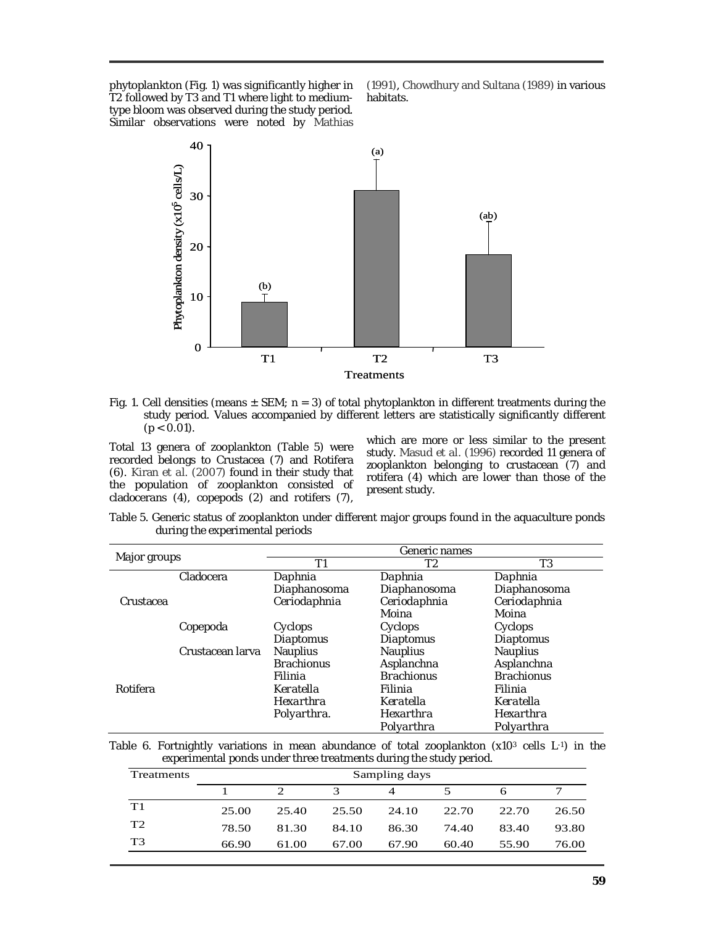phytoplankton (Fig. 1) was significantly higher in T2 followed by T3 and T1 where light to mediumtype bloom was observed during the study period. Similar observations were noted by Mathias

(1991), Chowdhury and Sultana (1989) in various habitats.



Fig. 1. Cell densities (means  $\pm$  SEM; n = 3) of total phytoplankton in different treatments during the study period. Values accompanied by different letters are statistically significantly different  $(p < 0.01)$ .

Total 13 genera of zooplankton (Table 5) were recorded belongs to Crustacea (7) and Rotifera (6). Kiran *et al.* (2007) found in their study that the population of zooplankton consisted of cladocerans (4), copepods (2) and rotifers (7),

which are more or less similar to the present study. Masud *et al.* (1996) recorded 11 genera of zooplankton belonging to crustacean (7) and rotifera (4) which are lower than those of the present study.

Table 5. Generic status of zooplankton under different major groups found in the aquaculture ponds during the experimental periods

| Major groups |                  | Generic names     |                   |                   |  |  |
|--------------|------------------|-------------------|-------------------|-------------------|--|--|
|              |                  | Τ1                | Τ2                | T3                |  |  |
|              | Cladocera        | Daphnia           | Daphnia           | Daphnia           |  |  |
|              |                  | Diaphanosoma      | Diaphanosoma      | Diaphanosoma      |  |  |
| Crustacea    |                  | Ceriodaphnia      | Ceriodaphnia      | Ceriodaphnia      |  |  |
| Copepoda     |                  |                   | Moina             | Moina             |  |  |
|              |                  | Cyclops           | Cyclops           | Cyclops           |  |  |
|              |                  | Diaptomus         | Diaptomus         | Diaptomus         |  |  |
|              | Crustacean Iarva | <b>Nauplius</b>   | <b>Nauplius</b>   | Nauplius          |  |  |
|              |                  | <b>Brachionus</b> | Asplanchna        | Asplanchna        |  |  |
|              |                  | Filinia           | <b>Brachionus</b> | <b>Brachionus</b> |  |  |
| Rotifera     |                  | Keratella         | Filinia           | Filinia           |  |  |
|              |                  | Hexarthra         | Keratella         | Keratella         |  |  |
|              |                  | Polyarthra.       | Hexarthra         | Hexarthra         |  |  |
|              |                  |                   | Polyarthra        | Polyarthra        |  |  |

Table 6. Fortnightly variations in mean abundance of total zooplankton  $(x10^3 \text{ cells } L^{-1})$  in the experimental ponds under three treatments during the study period.

| Treatments     | Sampling days |       |       |       |       |       |       |
|----------------|---------------|-------|-------|-------|-------|-------|-------|
|                |               |       | 3     |       |       |       |       |
| T1             | 25.00         | 25.40 | 25.50 | 24.10 | 22.70 | 22.70 | 26.50 |
| T <sub>2</sub> | 78.50         | 81.30 | 84.10 | 86.30 | 74.40 | 83.40 | 93.80 |
| T <sub>3</sub> | 66.90         | 61.00 | 67.00 | 67.90 | 60.40 | 55.90 | 76.00 |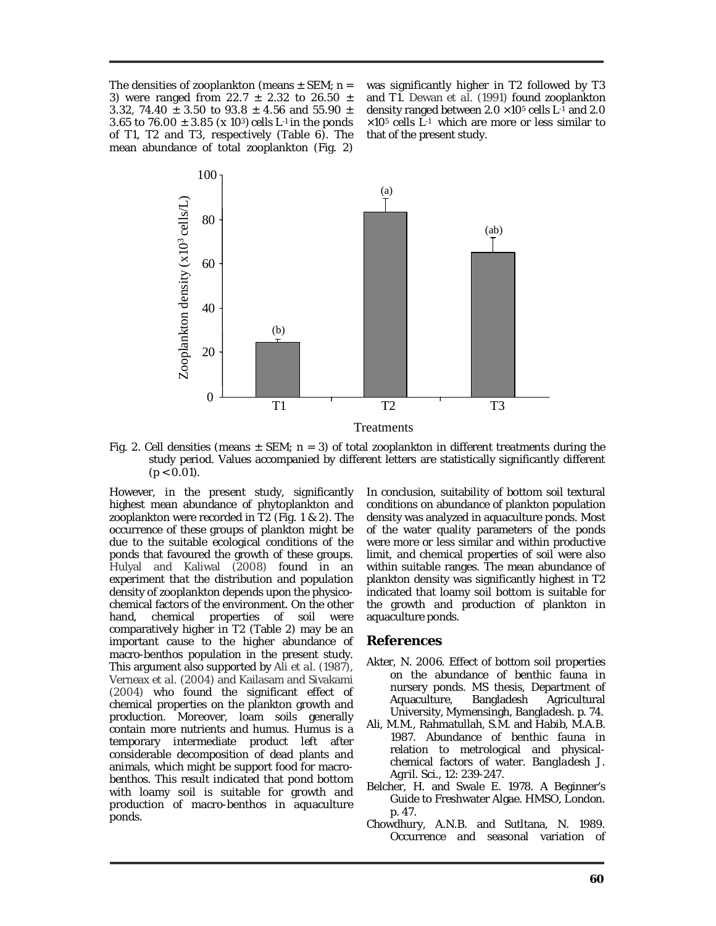The densities of zooplankton (means  $\pm$  SEM; n = 3) were ranged from 22.7  $\pm$  2.32 to 26.50  $\pm$ 3.32, 74.40  $\pm$  3.50 to 93.8  $\pm$  4.56 and 55.90  $\pm$ 3.65 to 76.00  $\pm$  3.85 (x 10<sup>3</sup>) cells L<sup>-1</sup> in the ponds of T1, T2 and T3, respectively (Table 6). The mean abundance of total zooplankton (Fig. 2)

was significantly higher in T2 followed by T3 and T1. Dewan *et al.* (1991) found zooplankton density ranged between  $2.0 \times 10^5$  cells  $L^{-1}$  and  $2.0$  $\times$ 10<sup>5</sup> cells L<sup>-1</sup> which are more or less similar to that of the present study.



Fig. 2. Cell densities (means  $\pm$  SEM; n = 3) of total zooplankton in different treatments during the study period. Values accompanied by different letters are statistically significantly different  $(p < 0.01)$ .

However, in the present study, significantly highest mean abundance of phytoplankton and zooplankton were recorded in T2 (Fig. 1 & 2). The occurrence of these groups of plankton might be due to the suitable ecological conditions of the ponds that favoured the growth of these groups. Hulyal and Kaliwal (2008) found in an experiment that the distribution and population density of zooplankton depends upon the physicochemical factors of the environment. On the other hand, chemical properties of soil were comparatively higher in T2 (Table 2) may be an important cause to the higher abundance of macro-benthos population in the present study. This argument also supported by Ali *et al.* (1987), Verneax *et al.* (2004) and Kailasam and Sivakami (2004) who found the significant effect of chemical properties on the plankton growth and production. Moreover, loam soils generally contain more nutrients and humus. Humus is a temporary intermediate product left after considerable decomposition of dead plants and animals, which might be support food for macrobenthos. This result indicated that pond bottom with loamy soil is suitable for growth and production of macro-benthos in aquaculture ponds.

In conclusion, suitability of bottom soil textural conditions on abundance of plankton population density was analyzed in aquaculture ponds. Most of the water quality parameters of the ponds were more or less similar and within productive limit, and chemical properties of soil were also within suitable ranges. The mean abundance of plankton density was significantly highest in T2 indicated that loamy soil bottom is suitable for the growth and production of plankton in aquaculture ponds.

#### **References**

- Akter, N. 2006. Effect of bottom soil properties on the abundance of benthic fauna in nursery ponds. MS thesis, Department of Aquaculture, Bangladesh Agricultural University, Mymensingh, Bangladesh. p. 74.
- Ali, M.M., Rahmatullah, S.M. and Habib, M.A.B. 1987. Abundance of benthic fauna in relation to metrological and physicalchemical factors of water. *Bangladesh J. Agril. Sci.,* 12: 239-247.
- Belcher, H. and Swale E. 1978. A Beginner's Guide to Freshwater Algae. HMSO, London. p. 47.
- Chowdhury, A.N.B. and Sutltana, N. 1989. Occurrence and seasonal variation of